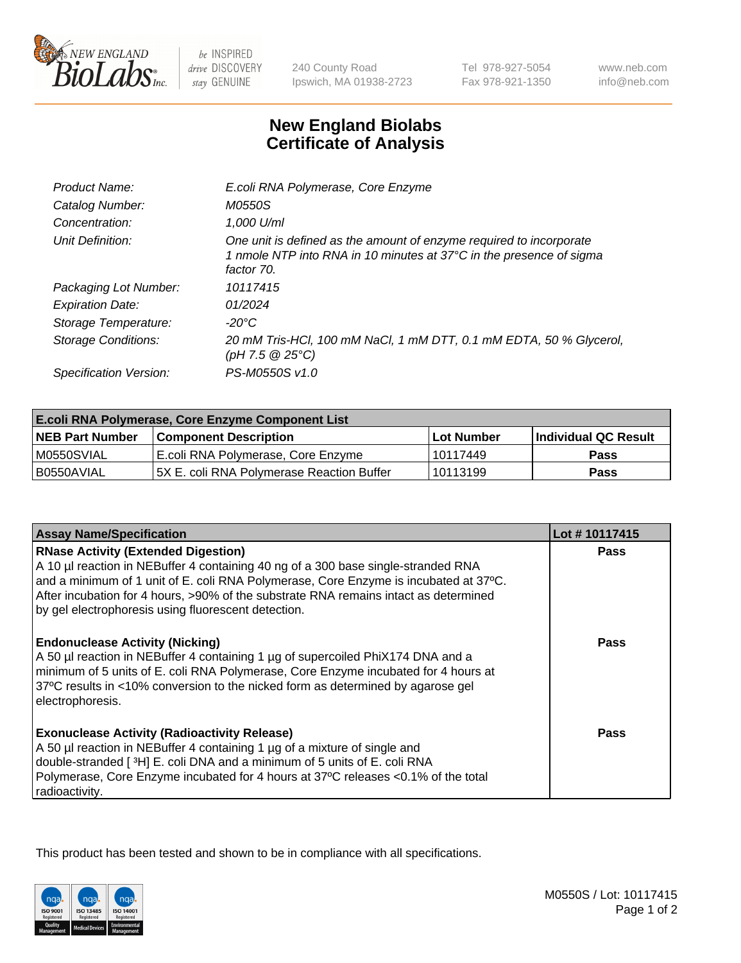

 $be$  INSPIRED drive DISCOVERY stay GENUINE

240 County Road Ipswich, MA 01938-2723

Tel 978-927-5054 Fax 978-921-1350 www.neb.com info@neb.com

## **New England Biolabs Certificate of Analysis**

| E.coli RNA Polymerase, Core Enzyme                                                                                                                       |
|----------------------------------------------------------------------------------------------------------------------------------------------------------|
| <i>M0550S</i>                                                                                                                                            |
| 1,000 U/ml                                                                                                                                               |
| One unit is defined as the amount of enzyme required to incorporate<br>1 nmole NTP into RNA in 10 minutes at 37°C in the presence of sigma<br>factor 70. |
| 10117415                                                                                                                                                 |
| 01/2024                                                                                                                                                  |
| -20°C                                                                                                                                                    |
| 20 mM Tris-HCl, 100 mM NaCl, 1 mM DTT, 0.1 mM EDTA, 50 % Glycerol,<br>(pH 7.5 $@25°C$ )                                                                  |
| PS-M0550S v1.0                                                                                                                                           |
|                                                                                                                                                          |

| <b>E.coli RNA Polymerase, Core Enzyme Component List</b> |                                            |                   |                      |  |
|----------------------------------------------------------|--------------------------------------------|-------------------|----------------------|--|
| <b>NEB Part Number</b>                                   | <b>Component Description</b>               | <b>Lot Number</b> | Individual QC Result |  |
| M0550SVIAL                                               | E.coli RNA Polymerase, Core Enzyme         | l 10117449        | <b>Pass</b>          |  |
| I B0550AVIAL                                             | 15X E. coli RNA Polymerase Reaction Buffer | l 10113199        | <b>Pass</b>          |  |

| <b>Assay Name/Specification</b>                                                                                                                                                                                                                                                                                                                                        | Lot #10117415 |
|------------------------------------------------------------------------------------------------------------------------------------------------------------------------------------------------------------------------------------------------------------------------------------------------------------------------------------------------------------------------|---------------|
| <b>RNase Activity (Extended Digestion)</b><br>A 10 µl reaction in NEBuffer 4 containing 40 ng of a 300 base single-stranded RNA<br>and a minimum of 1 unit of E. coli RNA Polymerase, Core Enzyme is incubated at 37°C.<br>After incubation for 4 hours, >90% of the substrate RNA remains intact as determined<br>by gel electrophoresis using fluorescent detection. | <b>Pass</b>   |
| <b>Endonuclease Activity (Nicking)</b><br>A 50 µl reaction in NEBuffer 4 containing 1 µg of supercoiled PhiX174 DNA and a<br>minimum of 5 units of E. coli RNA Polymerase, Core Enzyme incubated for 4 hours at<br>37°C results in <10% conversion to the nicked form as determined by agarose gel<br>electrophoresis.                                                 | Pass          |
| <b>Exonuclease Activity (Radioactivity Release)</b><br>A 50 µl reaction in NEBuffer 4 containing 1 µg of a mixture of single and<br>double-stranded [3H] E. coli DNA and a minimum of 5 units of E. coli RNA<br>Polymerase, Core Enzyme incubated for 4 hours at 37°C releases <0.1% of the total<br>radioactivity.                                                    | Pass          |

This product has been tested and shown to be in compliance with all specifications.